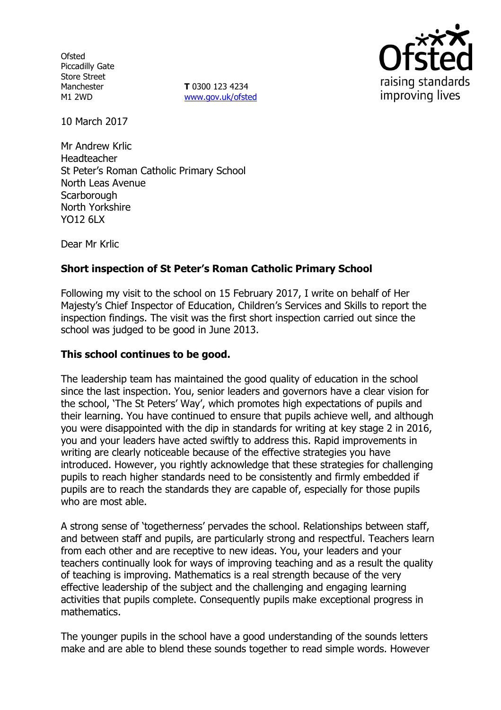**Ofsted** Piccadilly Gate Store Street Manchester M1 2WD

**T** 0300 123 4234 www.gov.uk/ofsted



10 March 2017

Mr Andrew Krlic Headteacher St Peter's Roman Catholic Primary School North Leas Avenue **Scarborough** North Yorkshire YO12 6LX

Dear Mr Krlic

# **Short inspection of St Peter's Roman Catholic Primary School**

Following my visit to the school on 15 February 2017, I write on behalf of Her Majesty's Chief Inspector of Education, Children's Services and Skills to report the inspection findings. The visit was the first short inspection carried out since the school was judged to be good in June 2013.

### **This school continues to be good.**

The leadership team has maintained the good quality of education in the school since the last inspection. You, senior leaders and governors have a clear vision for the school, 'The St Peters' Way', which promotes high expectations of pupils and their learning. You have continued to ensure that pupils achieve well, and although you were disappointed with the dip in standards for writing at key stage 2 in 2016, you and your leaders have acted swiftly to address this. Rapid improvements in writing are clearly noticeable because of the effective strategies you have introduced. However, you rightly acknowledge that these strategies for challenging pupils to reach higher standards need to be consistently and firmly embedded if pupils are to reach the standards they are capable of, especially for those pupils who are most able.

A strong sense of 'togetherness' pervades the school. Relationships between staff, and between staff and pupils, are particularly strong and respectful. Teachers learn from each other and are receptive to new ideas. You, your leaders and your teachers continually look for ways of improving teaching and as a result the quality of teaching is improving. Mathematics is a real strength because of the very effective leadership of the subject and the challenging and engaging learning activities that pupils complete. Consequently pupils make exceptional progress in mathematics.

The younger pupils in the school have a good understanding of the sounds letters make and are able to blend these sounds together to read simple words. However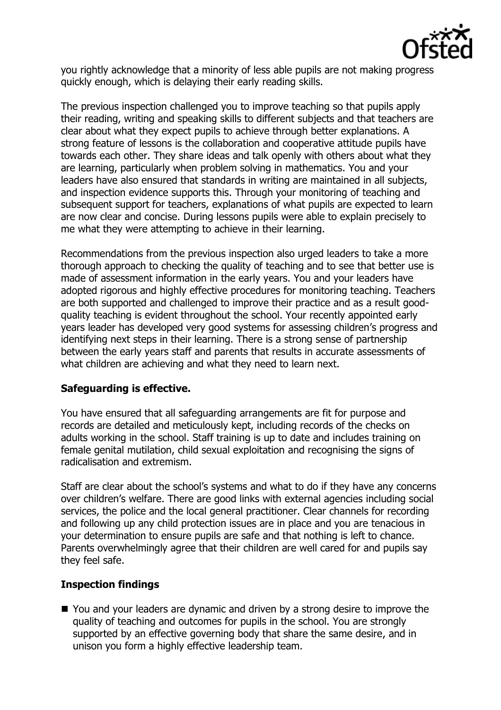

you rightly acknowledge that a minority of less able pupils are not making progress quickly enough, which is delaying their early reading skills.

The previous inspection challenged you to improve teaching so that pupils apply their reading, writing and speaking skills to different subjects and that teachers are clear about what they expect pupils to achieve through better explanations. A strong feature of lessons is the collaboration and cooperative attitude pupils have towards each other. They share ideas and talk openly with others about what they are learning, particularly when problem solving in mathematics. You and your leaders have also ensured that standards in writing are maintained in all subjects, and inspection evidence supports this. Through your monitoring of teaching and subsequent support for teachers, explanations of what pupils are expected to learn are now clear and concise. During lessons pupils were able to explain precisely to me what they were attempting to achieve in their learning.

Recommendations from the previous inspection also urged leaders to take a more thorough approach to checking the quality of teaching and to see that better use is made of assessment information in the early years. You and your leaders have adopted rigorous and highly effective procedures for monitoring teaching. Teachers are both supported and challenged to improve their practice and as a result goodquality teaching is evident throughout the school. Your recently appointed early years leader has developed very good systems for assessing children's progress and identifying next steps in their learning. There is a strong sense of partnership between the early years staff and parents that results in accurate assessments of what children are achieving and what they need to learn next.

# **Safeguarding is effective.**

You have ensured that all safeguarding arrangements are fit for purpose and records are detailed and meticulously kept, including records of the checks on adults working in the school. Staff training is up to date and includes training on female genital mutilation, child sexual exploitation and recognising the signs of radicalisation and extremism.

Staff are clear about the school's systems and what to do if they have any concerns over children's welfare. There are good links with external agencies including social services, the police and the local general practitioner. Clear channels for recording and following up any child protection issues are in place and you are tenacious in your determination to ensure pupils are safe and that nothing is left to chance. Parents overwhelmingly agree that their children are well cared for and pupils say they feel safe.

# **Inspection findings**

■ You and your leaders are dynamic and driven by a strong desire to improve the quality of teaching and outcomes for pupils in the school. You are strongly supported by an effective governing body that share the same desire, and in unison you form a highly effective leadership team.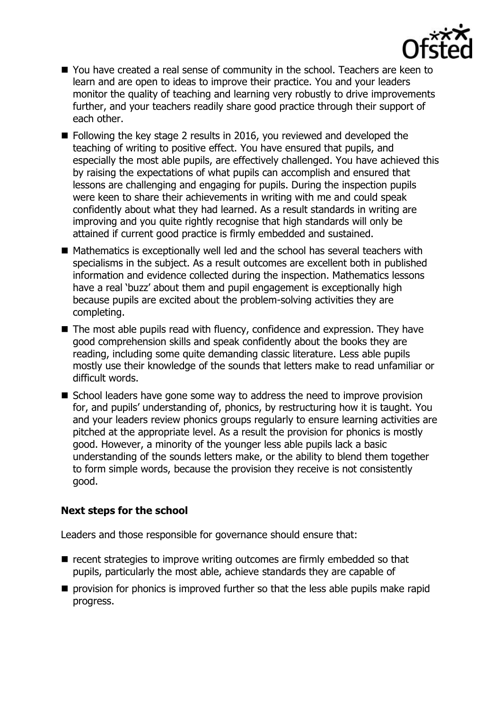

- You have created a real sense of community in the school. Teachers are keen to learn and are open to ideas to improve their practice. You and your leaders monitor the quality of teaching and learning very robustly to drive improvements further, and your teachers readily share good practice through their support of each other.
- Following the key stage 2 results in 2016, you reviewed and developed the teaching of writing to positive effect. You have ensured that pupils, and especially the most able pupils, are effectively challenged. You have achieved this by raising the expectations of what pupils can accomplish and ensured that lessons are challenging and engaging for pupils. During the inspection pupils were keen to share their achievements in writing with me and could speak confidently about what they had learned. As a result standards in writing are improving and you quite rightly recognise that high standards will only be attained if current good practice is firmly embedded and sustained.
- $\blacksquare$  Mathematics is exceptionally well led and the school has several teachers with specialisms in the subject. As a result outcomes are excellent both in published information and evidence collected during the inspection. Mathematics lessons have a real 'buzz' about them and pupil engagement is exceptionally high because pupils are excited about the problem-solving activities they are completing.
- The most able pupils read with fluency, confidence and expression. They have good comprehension skills and speak confidently about the books they are reading, including some quite demanding classic literature. Less able pupils mostly use their knowledge of the sounds that letters make to read unfamiliar or difficult words.
- $\blacksquare$  School leaders have gone some way to address the need to improve provision for, and pupils' understanding of, phonics, by restructuring how it is taught. You and your leaders review phonics groups regularly to ensure learning activities are pitched at the appropriate level. As a result the provision for phonics is mostly good. However, a minority of the younger less able pupils lack a basic understanding of the sounds letters make, or the ability to blend them together to form simple words, because the provision they receive is not consistently good.

### **Next steps for the school**

Leaders and those responsible for governance should ensure that:

- $\blacksquare$  recent strategies to improve writing outcomes are firmly embedded so that pupils, particularly the most able, achieve standards they are capable of
- **P** provision for phonics is improved further so that the less able pupils make rapid progress.